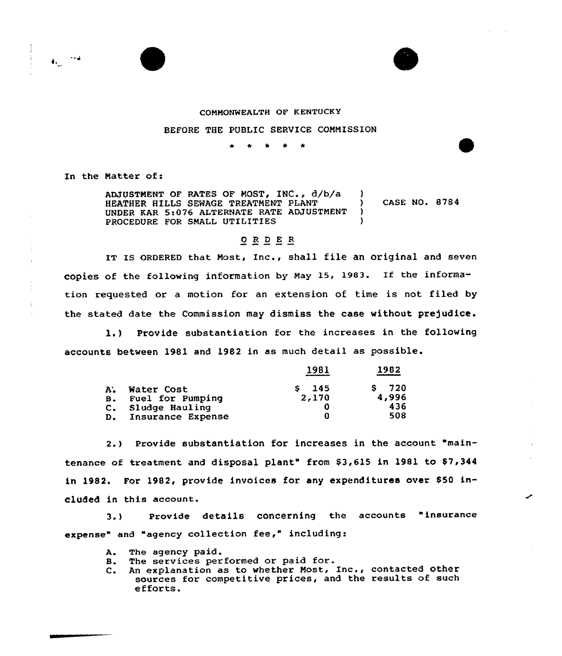

## COMMONWEALTH QF K ENTUCKV

## BEFORE THE PUBLIC SERVICE COMMISSION

\* \* \* <sup>4</sup> \*

In the Matter of:

ADJUSTMENT OF RATES OF MOST,  $INC., d/b/a$  )<br>HEATHER HILLS SEWAGE TREATMENT PLANT HEATHER HILLS SEWAGE TREATMENT PLANT ) CASE NO. B784 UNDER KAR 5:076 ALTERNATE RATE ADJUSTMENT ) PROCEDURE FOR SMALL UTILITIES

## 0 <sup>R</sup> <sup>D</sup> <sup>E</sup> R

IT IS ORDERED that Most, Inc., shall file an original and seven copies of the following information by May 15, 1983. If the information requested or a motion for an extension of time is not filed by the stated date the Commission may dismiss the case without prejudice.

1.) Provide substantiation for the increases in the following accounts between 1981 and 1982 in as much detail as possible.

|                |                   | 1981    | 1982      |
|----------------|-------------------|---------|-----------|
| $A^*$          | Water Cost        | $S$ 145 | 720<br>S. |
| B <sub>z</sub> | Fuel for Pumping  | 2,170   | 4,996     |
|                | C. Sludge Hauling |         | 436       |
| D.             | Insurance Expense | Ω       | 508       |

2.) Provide substantiation for increases in the account "maintenance of treatment and disposal plant" from \$3,615 in 1981 to \$7,344 in 1982. For 1982, provide invoices for any expenditures over 850 included in this account.

3.) Provide details concerning the accounts "insurance expense" and "agency collection fee," including:

- A The agency paid.
- B. The services performed or paid for.
- C. An explanation as to whether Most, Inc., contacted other sources for competitive prices, and the results of such efforts.